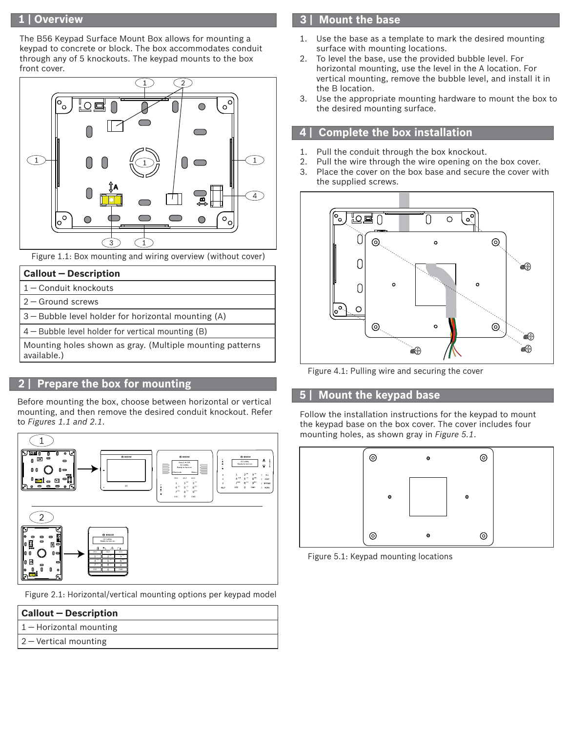### **1 | Overview**

The B56 Keypad Surface Mount Box allows for mounting a keypad to concrete or block. The box accommodates conduit through any of 5 knockouts. The keypad mounts to the box front cover.



Figure 1.1: Box mounting and wiring overview (without cover)

- 1 ― Conduit knockouts
- 2 ― Ground screws
- 3 ― Bubble level holder for horizontal mounting (A)

4 ― Bubble level holder for vertical mounting (B)

Mounting holes shown as gray. (Multiple mounting patterns available.)

# **2 | Prepare the box for mounting**

Before mounting the box, choose between horizontal or vertical mounting, and then remove the desired conduit knockout. Refer to *Figures 1.1 and 2.1*.



Figure 2.1: Horizontal/vertical mounting options per keypad model

| <b>Callout - Description</b>    |  |
|---------------------------------|--|
| $\vert 1 -$ Horizontal mounting |  |
| $2 -$ Vertical mounting         |  |

### **3 | Mount the base**

- 1. Use the base as a template to mark the desired mounting surface with mounting locations.
- 2. To level the base, use the provided bubble level. For horizontal mounting, use the level in the A location. For vertical mounting, remove the bubble level, and install it in the B location.
- 3. Use the appropriate mounting hardware to mount the box to the desired mounting surface.

## **4 | Complete the box installation**

- 1. Pull the conduit through the box knockout.
- 2. Pull the wire through the wire opening on the box cover. 3. Place the cover on the box base and secure the cover with the supplied screws.



Figure 4.1: Pulling wire and securing the cover

#### **5 | Mount the keypad base**

Follow the installation instructions for the keypad to mount the keypad base on the box cover. The cover includes four mounting holes, as shown gray in *Figure 5.1*.



Figure 5.1: Keypad mounting locations